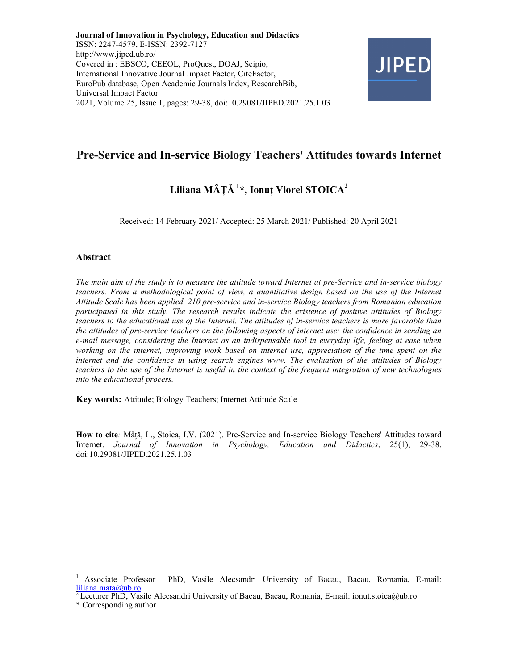Journal of Innovation in Psychology, Education and Didactics ISSN: 2247-4579, E-ISSN: 2392-7127 http://www.jiped.ub.ro/ Covered in : EBSCO, CEEOL, ProQuest, DOAJ, Scipio, International Innovative Journal Impact Factor, CiteFactor, EuroPub database, Open Academic Journals Index, ResearchBib, Universal Impact Factor 2021, Volume 25, Issue 1, pages: 29-38, doi:10.29081/JIPED.2021.25.1.03



# Pre-Service and In-service Biology Teachers' Attitudes towards Internet

# Liliana MÂTĂ<sup>1\*</sup>, Ionut Viorel STOICA<sup>2</sup>

Received: 14 February 2021/ Accepted: 25 March 2021/ Published: 20 April 2021

### Abstract

The main aim of the study is to measure the attitude toward Internet at pre-Service and in-service biology teachers. From a methodological point of view, a quantitative design based on the use of the Internet Attitude Scale has been applied. 210 pre-service and in-service Biology teachers from Romanian education participated in this study. The research results indicate the existence of positive attitudes of Biology teachers to the educational use of the Internet. The attitudes of in-service teachers is more favorable than the attitudes of pre-service teachers on the following aspects of internet use: the confidence in sending an e-mail message, considering the Internet as an indispensable tool in everyday life, feeling at ease when working on the internet, improving work based on internet use, appreciation of the time spent on the internet and the confidence in using search engines www. The evaluation of the attitudes of Biology teachers to the use of the Internet is useful in the context of the frequent integration of new technologies into the educational process.

Key words: Attitude; Biology Teachers; Internet Attitude Scale

How to cite: Mâță, L., Stoica, I.V. (2021). Pre-Service and In-service Biology Teachers' Attitudes toward Internet. Journal of Innovation in Psychology, Education and Didactics, 25(1), 29-38. doi:10.29081/JIPED.2021.25.1.03

<sup>-</sup><sup>1</sup>Associate Professor PhD, Vasile Alecsandri University of Bacau, Bacau, Romania, E-mail: liliana.mata@ub.ro

<sup>&</sup>lt;sup>2</sup> Lecturer PhD, Vasile Alecsandri University of Bacau, Bacau, Romania, E-mail: ionut.stoica@ub.ro

<sup>\*</sup> Corresponding author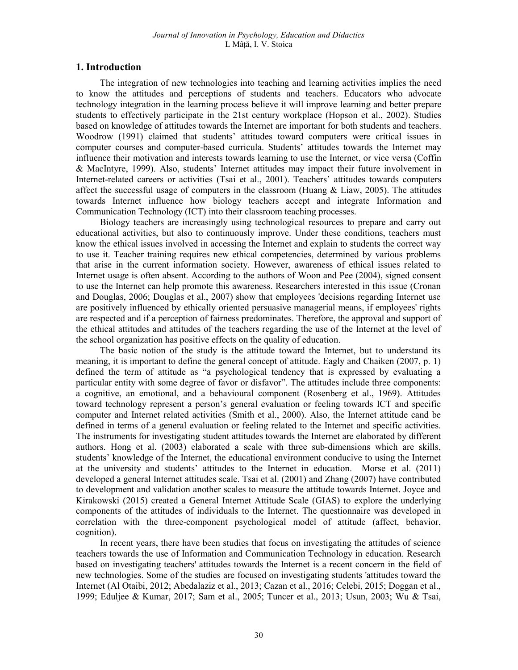# 1. Introduction

The integration of new technologies into teaching and learning activities implies the need to know the attitudes and perceptions of students and teachers. Educators who advocate technology integration in the learning process believe it will improve learning and better prepare students to effectively participate in the 21st century workplace (Hopson et al., 2002). Studies based on knowledge of attitudes towards the Internet are important for both students and teachers. Woodrow (1991) claimed that students' attitudes toward computers were critical issues in computer courses and computer-based curricula. Students' attitudes towards the Internet may influence their motivation and interests towards learning to use the Internet, or vice versa (Coffin & MacIntyre, 1999). Also, students' Internet attitudes may impact their future involvement in Internet-related careers or activities (Tsai et al., 2001). Teachers' attitudes towards computers affect the successful usage of computers in the classroom (Huang  $\&$  Liaw, 2005). The attitudes towards Internet influence how biology teachers accept and integrate Information and Communication Technology (ICT) into their classroom teaching processes.

Biology teachers are increasingly using technological resources to prepare and carry out educational activities, but also to continuously improve. Under these conditions, teachers must know the ethical issues involved in accessing the Internet and explain to students the correct way to use it. Teacher training requires new ethical competencies, determined by various problems that arise in the current information society. However, awareness of ethical issues related to Internet usage is often absent. According to the authors of Woon and Pee (2004), signed consent to use the Internet can help promote this awareness. Researchers interested in this issue (Cronan and Douglas, 2006; Douglas et al., 2007) show that employees 'decisions regarding Internet use are positively influenced by ethically oriented persuasive managerial means, if employees' rights are respected and if a perception of fairness predominates. Therefore, the approval and support of the ethical attitudes and attitudes of the teachers regarding the use of the Internet at the level of the school organization has positive effects on the quality of education.

The basic notion of the study is the attitude toward the Internet, but to understand its meaning, it is important to define the general concept of attitude. Eagly and Chaiken (2007, p. 1) defined the term of attitude as "a psychological tendency that is expressed by evaluating a particular entity with some degree of favor or disfavor". The attitudes include three components: a cognitive, an emotional, and a behavioural component (Rosenberg et al., 1969). Attitudes toward technology represent a person's general evaluation or feeling towards ICT and specific computer and Internet related activities (Smith et al., 2000). Also, the Internet attitude cand be defined in terms of a general evaluation or feeling related to the Internet and specific activities. The instruments for investigating student attitudes towards the Internet are elaborated by different authors. Hong et al. (2003) elaborated a scale with three sub-dimensions which are skills, students' knowledge of the Internet, the educational environment conducive to using the Internet at the university and students' attitudes to the Internet in education. Morse et al. (2011) developed a general Internet attitudes scale. Tsai et al. (2001) and Zhang (2007) have contributed to development and validation another scales to measure the attitude towards Internet. Joyce and Kirakowski (2015) created a General Internet Attitude Scale (GIAS) to explore the underlying components of the attitudes of individuals to the Internet. The questionnaire was developed in correlation with the three-component psychological model of attitude (affect, behavior, cognition).

In recent years, there have been studies that focus on investigating the attitudes of science teachers towards the use of Information and Communication Technology in education. Research based on investigating teachers' attitudes towards the Internet is a recent concern in the field of new technologies. Some of the studies are focused on investigating students 'attitudes toward the Internet (Al Otaibi, 2012; Abedalaziz et al., 2013; Cazan et al., 2016; Celebi, 2015; Doggan et al., 1999; Eduljee & Kumar, 2017; Sam et al., 2005; Tuncer et al., 2013; Usun, 2003; Wu & Tsai,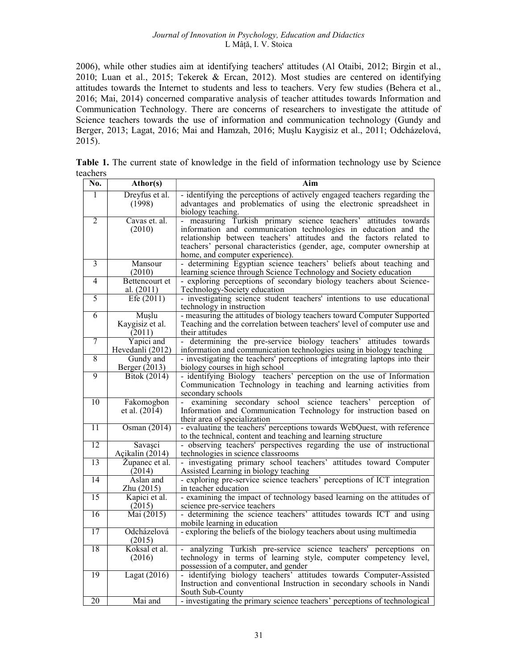2006), while other studies aim at identifying teachers' attitudes (Al Otaibi, 2012; Birgin et al., 2010; Luan et al., 2015; Tekerek & Ercan, 2012). Most studies are centered on identifying attitudes towards the Internet to students and less to teachers. Very few studies (Behera et al., 2016; Mai, 2014) concerned comparative analysis of teacher attitudes towards Information and Communication Technology. There are concerns of researchers to investigate the attitude of Science teachers towards the use of information and communication technology (Gundy and Berger, 2013; Lagat, 2016; Mai and Hamzah, 2016; Mușlu Kaygisiz et al., 2011; Odcházelová, 2015).

|              |  | Table 1. The current state of knowledge in the field of information technology use by Science |  |  |  |
|--------------|--|-----------------------------------------------------------------------------------------------|--|--|--|
| teachers     |  |                                                                                               |  |  |  |
| $\mathbf{1}$ |  |                                                                                               |  |  |  |

| No. | Athor(s)                    | Aim                                                                                                 |
|-----|-----------------------------|-----------------------------------------------------------------------------------------------------|
| 1   | Dreyfus et al.              | - identifying the perceptions of actively engaged teachers regarding the                            |
|     | (1998)                      | advantages and problematics of using the electronic spreadsheet in                                  |
|     |                             | biology teaching.                                                                                   |
| 2   | Cavas et. al.               | - measuring Turkish primary science teachers' attitudes towards                                     |
|     | (2010)                      | information and communication technologies in education and the                                     |
|     |                             | relationship between teachers' attitudes and the factors related to                                 |
|     |                             | teachers' personal characteristics (gender, age, computer ownership at                              |
|     |                             | home, and computer experience).                                                                     |
| 3   | Mansour                     | - determining Egyptian science teachers' beliefs about teaching and                                 |
|     | (2010)                      | learning science through Science Technology and Society education                                   |
| 4   | Bettencourt et              | - exploring perceptions of secondary biology teachers about Science-                                |
|     | al. (2011)                  | Technology-Society education                                                                        |
| 5   | Efe $(2011)$                | - investigating science student teachers' intentions to use educational                             |
|     |                             | technology in instruction                                                                           |
| 6   | Muslu                       | - measuring the attitudes of biology teachers toward Computer Supported                             |
|     | Kaygisiz et al.             | Teaching and the correlation between teachers' level of computer use and                            |
| 7   | (2011)<br>Yapici and        | their attitudes<br>- determining the pre-service biology teachers' attitudes towards                |
|     | Hevedanli (2012)            | information and communication technologies using in biology teaching                                |
| 8   | Gundy and                   | - investigating the teachers' perceptions of integrating laptops into their                         |
|     | Berger (2013)               | biology courses in high school                                                                      |
| 9   | <b>Bitok</b> (2014)         | - identifying Biology teachers' perception on the use of Information                                |
|     |                             | Communication Technology in teaching and learning activities from                                   |
|     |                             | secondary schools                                                                                   |
| 10  | Fakomogbon                  | examining secondary school science teachers'<br>perception<br>οf                                    |
|     | et al. $(2014)$             | Information and Communication Technology for instruction based on                                   |
|     |                             | their area of specialization                                                                        |
| 11  | Osman (2014)                | - evaluating the teachers' perceptions towards WebOuest, with reference                             |
|     |                             | to the technical, content and teaching and learning structure                                       |
| 12  | Savasci                     | - observing teachers' perspectives regarding the use of instructional                               |
|     | Açikalin (2014)             | technologies in science classrooms                                                                  |
| 13  | Zupanec et al.              | - investigating primary school teachers' attitudes toward Computer                                  |
|     | (2014)                      | Assisted Learning in biology teaching                                                               |
| 14  | Aslan and                   | - exploring pre-service science teachers' perceptions of ICT integration                            |
| 15  | Zhu (2015)<br>Kapici et al. | in teacher education<br>- examining the impact of technology based learning on the attitudes of     |
|     | (2015)                      |                                                                                                     |
| 16  | Mai (2015)                  | science pre-service teachers<br>- determining the science teachers' attitudes towards ICT and using |
|     |                             | mobile learning in education                                                                        |
| 17  | Odcházelová                 | - exploring the beliefs of the biology teachers about using multimedia                              |
|     | (2015)                      |                                                                                                     |
| 18  | Koksal et al.               | - analyzing Turkish pre-service science teachers' perceptions on                                    |
|     | (2016)                      | technology in terms of learning style, computer competency level,                                   |
|     |                             | possession of a computer, and gender                                                                |
| 19  | Lagat (2016)                | - identifying biology teachers' attitudes towards Computer-Assisted                                 |
|     |                             | Instruction and conventional Instruction in secondary schools in Nandi                              |
|     |                             | South Sub-County                                                                                    |
| 20  | Mai and                     | - investigating the primary science teachers' perceptions of technological                          |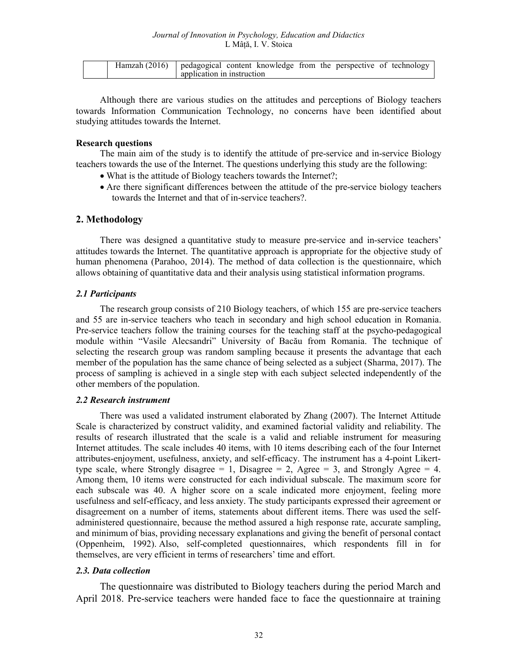| Hamzah (2016)   pedagogical content knowledge from the perspective of technology |                            |  |  |  |  |  |
|----------------------------------------------------------------------------------|----------------------------|--|--|--|--|--|
|                                                                                  | application in instruction |  |  |  |  |  |

Although there are various studies on the attitudes and perceptions of Biology teachers towards Information Communication Technology, no concerns have been identified about studying attitudes towards the Internet.

#### Research questions

The main aim of the study is to identify the attitude of pre-service and in-service Biology teachers towards the use of the Internet. The questions underlying this study are the following:

- What is the attitude of Biology teachers towards the Internet?;
- Are there significant differences between the attitude of the pre-service biology teachers towards the Internet and that of in-service teachers?.

### 2. Methodology

There was designed a quantitative study to measure pre-service and in-service teachers' attitudes towards the Internet. The quantitative approach is appropriate for the objective study of human phenomena (Parahoo, 2014). The method of data collection is the questionnaire, which allows obtaining of quantitative data and their analysis using statistical information programs.

### 2.1 Participants

The research group consists of 210 Biology teachers, of which 155 are pre-service teachers and 55 are in-service teachers who teach in secondary and high school education in Romania. Pre-service teachers follow the training courses for the teaching staff at the psycho-pedagogical module within "Vasile Alecsandri" University of Bacău from Romania. The technique of selecting the research group was random sampling because it presents the advantage that each member of the population has the same chance of being selected as a subject (Sharma, 2017). The process of sampling is achieved in a single step with each subject selected independently of the other members of the population.

#### 2.2 Research instrument

There was used a validated instrument elaborated by Zhang (2007). The Internet Attitude Scale is characterized by construct validity, and examined factorial validity and reliability. The results of research illustrated that the scale is a valid and reliable instrument for measuring Internet attitudes. The scale includes 40 items, with 10 items describing each of the four Internet attributes-enjoyment, usefulness, anxiety, and self-efficacy. The instrument has a 4-point Likerttype scale, where Strongly disagree = 1, Disagree = 2, Agree = 3, and Strongly Agree = 4. Among them, 10 items were constructed for each individual subscale. The maximum score for each subscale was 40. A higher score on a scale indicated more enjoyment, feeling more usefulness and self-efficacy, and less anxiety. The study participants expressed their agreement or disagreement on a number of items, statements about different items. There was used the selfadministered questionnaire, because the method assured a high response rate, accurate sampling, and minimum of bias, providing necessary explanations and giving the benefit of personal contact (Oppenheim, 1992). Also, self-completed questionnaires, which respondents fill in for themselves, are very efficient in terms of researchers' time and effort.

## 2.3. Data collection

The questionnaire was distributed to Biology teachers during the period March and April 2018. Pre-service teachers were handed face to face the questionnaire at training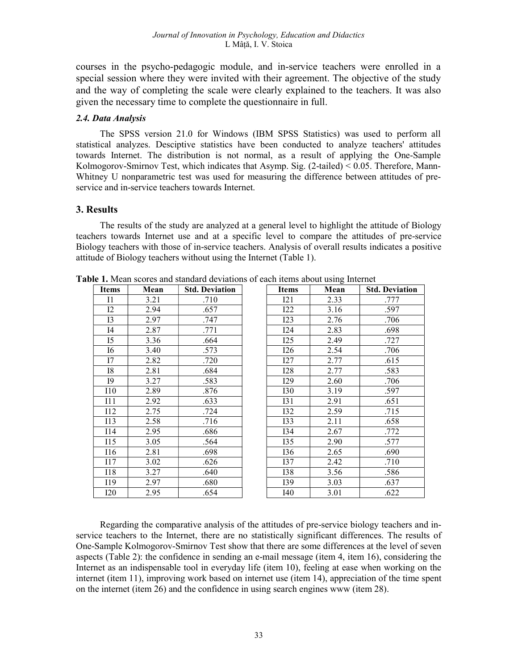courses in the psycho-pedagogic module, and in-service teachers were enrolled in a special session where they were invited with their agreement. The objective of the study and the way of completing the scale were clearly explained to the teachers. It was also given the necessary time to complete the questionnaire in full.

#### 2.4. Data Analysis

The SPSS version 21.0 for Windows (IBM SPSS Statistics) was used to perform all statistical analyzes. Desciptive statistics have been conducted to analyze teachers' attitudes towards Internet. The distribution is not normal, as a result of applying the One-Sample Kolmogorov-Smirnov Test, which indicates that Asymp. Sig. (2-tailed) < 0.05. Therefore, Mann-Whitney U nonparametric test was used for measuring the difference between attitudes of preservice and in-service teachers towards Internet.

# 3. Results

The results of the study are analyzed at a general level to highlight the attitude of Biology teachers towards Internet use and at a specific level to compare the attitudes of pre-service Biology teachers with those of in-service teachers. Analysis of overall results indicates a positive attitude of Biology teachers without using the Internet (Table 1).

| <b>Items</b> | Mean | <b>Std. Deviation</b> | <b>Items</b> | $\tilde{\phantom{a}}$<br>Mean | <b>Std. Deviation</b> |
|--------------|------|-----------------------|--------------|-------------------------------|-----------------------|
| $_{\rm II}$  | 3.21 | .710                  | 121          | 2.33                          | .777                  |
| 12           | 2.94 | .657                  | 122          | 3.16                          | .597                  |
| 13           | 2.97 | .747                  | 123          | 2.76                          | .706                  |
| I4           | 2.87 | .771                  | I24          | 2.83                          | .698                  |
| I5           | 3.36 | .664                  | I25          | 2.49                          | .727                  |
| <b>I6</b>    | 3.40 | .573                  | I26          | 2.54                          | .706                  |
| I7           | 2.82 | .720                  | 127          | 2.77                          | .615                  |
| <b>I8</b>    | 2.81 | .684                  | 128          | 2.77                          | .583                  |
| I9           | 3.27 | .583                  | I29          | 2.60                          | .706                  |
| 110          | 2.89 | .876                  | <b>I30</b>   | 3.19                          | .597                  |
| 111          | 2.92 | .633                  | I31          | 2.91                          | .651                  |
| I12          | 2.75 | .724                  | I32          | 2.59                          | .715                  |
| 113          | 2.58 | .716                  | <b>I33</b>   | 2.11                          | .658                  |
| I14          | 2.95 | .686                  | I34          | 2.67                          | .772                  |
| 115          | 3.05 | .564                  | I35          | 2.90                          | .577                  |
| I16          | 2.81 | .698                  | I36          | 2.65                          | .690                  |
| I17          | 3.02 | .626                  | I37          | 2.42                          | .710                  |
| I18          | 3.27 | .640                  | <b>I38</b>   | 3.56                          | .586                  |
| I19          | 2.97 | .680                  | I39          | 3.03                          | .637                  |
| <b>I20</b>   | 2.95 | .654                  | I40          | 3.01                          | .622                  |

Table 1. Mean scores and standard deviations of each items about using Internet

Regarding the comparative analysis of the attitudes of pre-service biology teachers and inservice teachers to the Internet, there are no statistically significant differences. The results of One-Sample Kolmogorov-Smirnov Test show that there are some differences at the level of seven aspects (Table 2): the confidence in sending an e-mail message (item 4, item 16), considering the Internet as an indispensable tool in everyday life (item 10), feeling at ease when working on the internet (item 11), improving work based on internet use (item 14), appreciation of the time spent on the internet (item 26) and the confidence in using search engines www (item 28).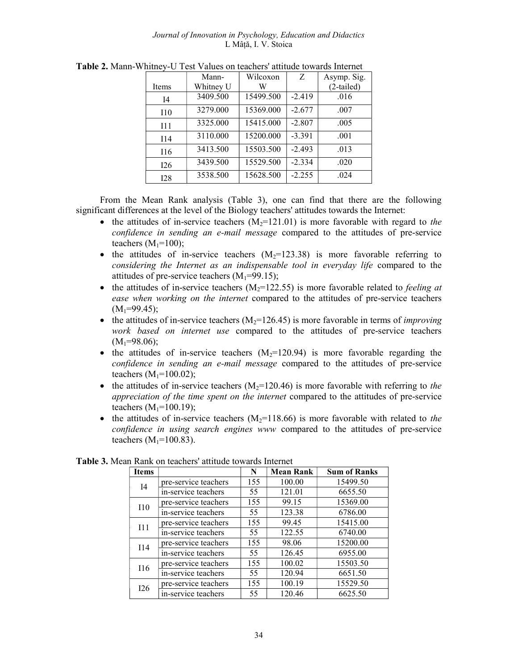#### Journal of Innovation in Psychology, Education and Didactics L Mâță, I. V. Stoica

|                | Mann-     | Wilcoxon  | Z        | Asymp. Sig.  |
|----------------|-----------|-----------|----------|--------------|
| Items          | Whitney U | W         |          | $(2-tailed)$ |
| I <sub>4</sub> | 3409.500  | 15499.500 | $-2.419$ | .016         |
| I10            | 3279.000  | 15369.000 | $-2.677$ | .007         |
| 111            | 3325.000  | 15415.000 | $-2.807$ | .005         |
| I14            | 3110.000  | 15200.000 | $-3.391$ | .001         |
| I16            | 3413.500  | 15503.500 | $-2.493$ | .013         |
| 126            | 3439.500  | 15529.500 | $-2.334$ | .020         |
| 128            | 3538.500  | 15628.500 | $-2.255$ | .024         |

Table 2. Mann-Whitney-U Test Values on teachers' attitude towards Internet

From the Mean Rank analysis (Table 3), one can find that there are the following significant differences at the level of the Biology teachers' attitudes towards the Internet:

- the attitudes of in-service teachers  $(M<sub>2</sub>=121.01)$  is more favorable with regard to the confidence in sending an e-mail message compared to the attitudes of pre-service teachers  $(M_1=100)$ ;
- the attitudes of in-service teachers  $(M_2=123.38)$  is more favorable referring to considering the Internet as an indispensable tool in everyday life compared to the attitudes of pre-service teachers  $(M_1=99.15)$ ;
- the attitudes of in-service teachers  $(M_2=122.55)$  is more favorable related to *feeling at* ease when working on the internet compared to the attitudes of pre-service teachers  $(M_1=99.45);$
- the attitudes of in-service teachers  $(M_2=126.45)$  is more favorable in terms of *improving* work based on internet use compared to the attitudes of pre-service teachers  $(M_1=98.06);$
- the attitudes of in-service teachers  $(M_2=120.94)$  is more favorable regarding the confidence in sending an e-mail message compared to the attitudes of pre-service teachers  $(M_1=100.02)$ ;
- the attitudes of in-service teachers  $(M_2=120.46)$  is more favorable with referring to the appreciation of the time spent on the internet compared to the attitudes of pre-service teachers  $(M_1=100.19)$ ;
- the attitudes of in-service teachers  $(M_2=118.66)$  is more favorable with related to the confidence in using search engines www compared to the attitudes of pre-service teachers  $(M_1=100.83)$ .

| <b>Items</b>   |                      | N   | <b>Mean Rank</b> | <b>Sum of Ranks</b> |
|----------------|----------------------|-----|------------------|---------------------|
| I <sub>4</sub> | pre-service teachers | 155 | 100.00           | 15499.50            |
|                | in-service teachers  | 55  | 121.01           | 6655.50             |
| <b>I10</b>     | pre-service teachers | 155 | 99.15            | 15369.00            |
|                | in-service teachers  | 55  | 123.38           | 6786.00             |
| 111            | pre-service teachers | 155 | 99.45            | 15415.00            |
|                | in-service teachers  | 55  | 122.55           | 6740.00             |
| I14            | pre-service teachers | 155 | 98.06            | 15200.00            |
|                | in-service teachers  | 55  | 126.45           | 6955.00             |
| I16            | pre-service teachers | 155 | 100.02           | 15503.50            |
|                | in-service teachers  | 55  | 120.94           | 6651.50             |
| <b>I26</b>     | pre-service teachers | 155 | 100.19           | 15529.50            |
|                | in-service teachers  | 55  | 120.46           | 6625.50             |

Table 3. Mean Rank on teachers' attitude towards Internet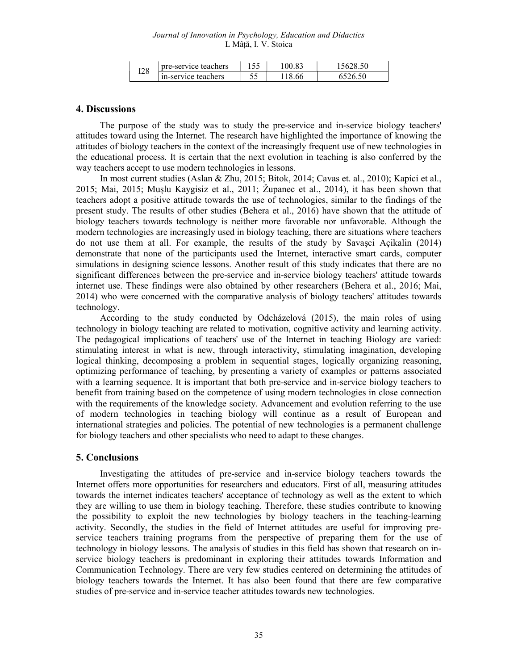| <b>I28</b> | pre-service teachers |     | 100.83 | 5628.50 |
|------------|----------------------|-----|--------|---------|
|            | in-service teachers  | ں ر | 66     | 5526.50 |

### 4. Discussions

The purpose of the study was to study the pre-service and in-service biology teachers' attitudes toward using the Internet. The research have highlighted the importance of knowing the attitudes of biology teachers in the context of the increasingly frequent use of new technologies in the educational process. It is certain that the next evolution in teaching is also conferred by the way teachers accept to use modern technologies in lessons.

In most current studies (Aslan & Zhu, 2015; Bitok, 2014; Cavas et. al., 2010); Kapici et al., 2015; Mai, 2015; Mușlu Kaygisiz et al., 2011; Županec et al., 2014), it has been shown that teachers adopt a positive attitude towards the use of technologies, similar to the findings of the present study. The results of other studies (Behera et al., 2016) have shown that the attitude of biology teachers towards technology is neither more favorable nor unfavorable. Although the modern technologies are increasingly used in biology teaching, there are situations where teachers do not use them at all. For example, the results of the study by Savaşci Açikalin (2014) demonstrate that none of the participants used the Internet, interactive smart cards, computer simulations in designing science lessons. Another result of this study indicates that there are no significant differences between the pre-service and in-service biology teachers' attitude towards internet use. These findings were also obtained by other researchers (Behera et al., 2016; Mai, 2014) who were concerned with the comparative analysis of biology teachers' attitudes towards technology.

According to the study conducted by Odcházelová (2015), the main roles of using technology in biology teaching are related to motivation, cognitive activity and learning activity. The pedagogical implications of teachers' use of the Internet in teaching Biology are varied: stimulating interest in what is new, through interactivity, stimulating imagination, developing logical thinking, decomposing a problem in sequential stages, logically organizing reasoning, optimizing performance of teaching, by presenting a variety of examples or patterns associated with a learning sequence. It is important that both pre-service and in-service biology teachers to benefit from training based on the competence of using modern technologies in close connection with the requirements of the knowledge society. Advancement and evolution referring to the use of modern technologies in teaching biology will continue as a result of European and international strategies and policies. The potential of new technologies is a permanent challenge for biology teachers and other specialists who need to adapt to these changes.

## 5. Conclusions

Investigating the attitudes of pre-service and in-service biology teachers towards the Internet offers more opportunities for researchers and educators. First of all, measuring attitudes towards the internet indicates teachers' acceptance of technology as well as the extent to which they are willing to use them in biology teaching. Therefore, these studies contribute to knowing the possibility to exploit the new technologies by biology teachers in the teaching-learning activity. Secondly, the studies in the field of Internet attitudes are useful for improving preservice teachers training programs from the perspective of preparing them for the use of technology in biology lessons. The analysis of studies in this field has shown that research on inservice biology teachers is predominant in exploring their attitudes towards Information and Communication Technology. There are very few studies centered on determining the attitudes of biology teachers towards the Internet. It has also been found that there are few comparative studies of pre-service and in-service teacher attitudes towards new technologies.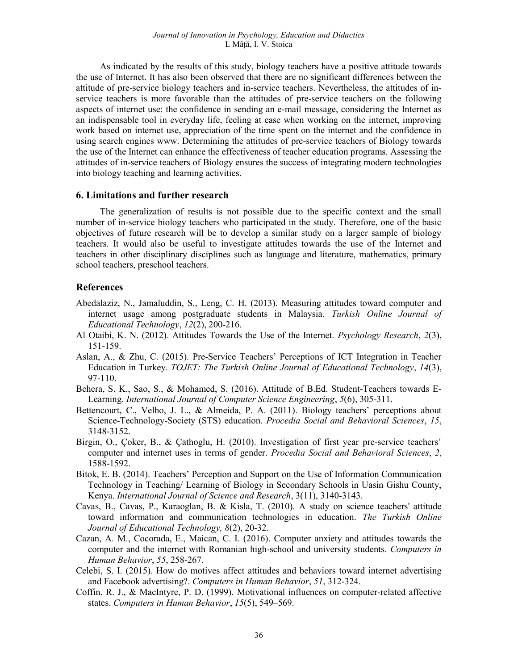As indicated by the results of this study, biology teachers have a positive attitude towards the use of Internet. It has also been observed that there are no significant differences between the attitude of pre-service biology teachers and in-service teachers. Nevertheless, the attitudes of inservice teachers is more favorable than the attitudes of pre-service teachers on the following aspects of internet use: the confidence in sending an e-mail message, considering the Internet as an indispensable tool in everyday life, feeling at ease when working on the internet, improving work based on internet use, appreciation of the time spent on the internet and the confidence in using search engines www. Determining the attitudes of pre-service teachers of Biology towards the use of the Internet can enhance the effectiveness of teacher education programs. Assessing the attitudes of in-service teachers of Biology ensures the success of integrating modern technologies into biology teaching and learning activities.

# 6. Limitations and further research

The generalization of results is not possible due to the specific context and the small number of in-service biology teachers who participated in the study. Therefore, one of the basic objectives of future research will be to develop a similar study on a larger sample of biology teachers. It would also be useful to investigate attitudes towards the use of the Internet and teachers in other disciplinary disciplines such as language and literature, mathematics, primary school teachers, preschool teachers.

## References

- Abedalaziz, N., Jamaluddin, S., Leng, C. H. (2013). Measuring attitudes toward computer and internet usage among postgraduate students in Malaysia. Turkish Online Journal of Educational Technology, 12(2), 200-216.
- Al Otaibi, K. N. (2012). Attitudes Towards the Use of the Internet. Psychology Research, 2(3), 151-159.
- Aslan, A., & Zhu, C. (2015). Pre-Service Teachers' Perceptions of ICT Integration in Teacher Education in Turkey. TOJET: The Turkish Online Journal of Educational Technology, 14(3), 97-110.
- Behera, S. K., Sao, S., & Mohamed, S. (2016). Attitude of B.Ed. Student-Teachers towards E-Learning. International Journal of Computer Science Engineering, 5(6), 305-311.
- Bettencourt, C., Velho, J. L., & Almeida, P. A. (2011). Biology teachers' perceptions about Science-Technology-Society (STS) education. Procedia Social and Behavioral Sciences, 15, 3148-3152.
- Birgin, O., Çoker, B., & Çathoglu, H. (2010). Investigation of first year pre-service teachers' computer and internet uses in terms of gender. Procedia Social and Behavioral Sciences, 2, 1588-1592.
- Bitok, E. B. (2014). Teachers' Perception and Support on the Use of Information Communication Technology in Teaching/ Learning of Biology in Secondary Schools in Uasin Gishu County, Kenya. International Journal of Science and Research, 3(11), 3140-3143.
- Cavas, B., Cavas, P., Karaoglan, B. & Kisla, T. (2010). A study on science teachers' attitude toward information and communication technologies in education. The Turkish Online Journal of Educational Technology, 8(2), 20-32.
- Cazan, A. M., Cocorada, E., Maican, C. I. (2016). Computer anxiety and attitudes towards the computer and the internet with Romanian high-school and university students. Computers in Human Behavior, 55, 258-267.
- Celebi, S. I. (2015). How do motives affect attitudes and behaviors toward internet advertising and Facebook advertising?. Computers in Human Behavior, 51, 312-324.
- Coffin, R. J., & MacIntyre, P. D. (1999). Motivational influences on computer-related affective states. Computers in Human Behavior, 15(5), 549-569.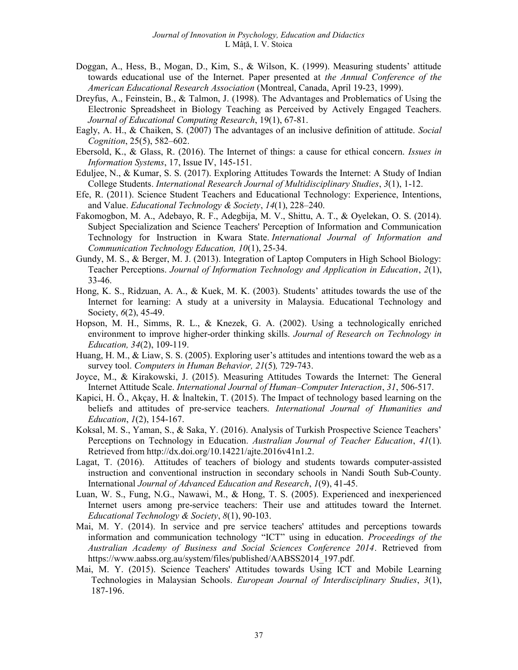- Doggan, A., Hess, B., Mogan, D., Kim, S., & Wilson, K. (1999). Measuring students' attitude towards educational use of the Internet. Paper presented at the Annual Conference of the American Educational Research Association (Montreal, Canada, April 19-23, 1999).
- Dreyfus, A., Feinstein, B., & Talmon, J. (1998). The Advantages and Problematics of Using the Electronic Spreadsheet in Biology Teaching as Perceived by Actively Engaged Teachers. Journal of Educational Computing Research, 19(1), 67-81.
- Eagly, A. H., & Chaiken, S. (2007) The advantages of an inclusive definition of attitude. Social Cognition, 25(5), 582–602.
- Ebersold, K., & Glass, R. (2016). The Internet of things: a cause for ethical concern. Issues in Information Systems, 17, Issue IV, 145-151.
- Eduljee, N., & Kumar, S. S. (2017). Exploring Attitudes Towards the Internet: A Study of Indian College Students. International Research Journal of Multidisciplinary Studies, 3(1), 1-12.
- Efe, R. (2011). Science Student Teachers and Educational Technology: Experience, Intentions, and Value. *Educational Technology & Society*,  $14(1)$ ,  $228-240$ .
- Fakomogbon, M. A., Adebayo, R. F., Adegbija, M. V., Shittu, A. T., & Oyelekan, O. S. (2014). Subject Specialization and Science Teachers' Perception of Information and Communication Technology for Instruction in Kwara State. International Journal of Information and Communication Technology Education, 10(1), 25-34.
- Gundy, M. S., & Berger, M. J. (2013). Integration of Laptop Computers in High School Biology: Teacher Perceptions. Journal of Information Technology and Application in Education, 2(1), 33-46.
- Hong, K. S., Ridzuan, A. A., & Kuek, M. K. (2003). Students' attitudes towards the use of the Internet for learning: A study at a university in Malaysia. Educational Technology and Society,  $6(2)$ , 45-49.
- Hopson, M. H., Simms, R. L., & Knezek, G. A. (2002). Using a technologically enriched environment to improve higher-order thinking skills. Journal of Research on Technology in Education, 34(2), 109-119.
- Huang, H. M., & Liaw, S. S. (2005). Exploring user's attitudes and intentions toward the web as a survey tool. Computers in Human Behavior, 21(5), 729-743.
- Joyce, M., & Kirakowski, J. (2015). Measuring Attitudes Towards the Internet: The General Internet Attitude Scale. International Journal of Human–Computer Interaction, 31, 506-517.
- Kapici, H. Ö., Akçay, H. & İnaltekin, T. (2015). The Impact of technology based learning on the beliefs and attitudes of pre-service teachers. International Journal of Humanities and Education, 1(2), 154-167.
- Koksal, M. S., Yaman, S., & Saka, Y. (2016). Analysis of Turkish Prospective Science Teachers' Perceptions on Technology in Education. Australian Journal of Teacher Education, 41(1). Retrieved from http://dx.doi.org/10.14221/ajte.2016v41n1.2.
- Lagat, T. (2016). Attitudes of teachers of biology and students towards computer-assisted instruction and conventional instruction in secondary schools in Nandi South Sub-County. International Journal of Advanced Education and Research, 1(9), 41-45.
- Luan, W. S., Fung, N.G., Nawawi, M., & Hong, T. S. (2005). Experienced and inexperienced Internet users among pre-service teachers: Their use and attitudes toward the Internet. Educational Technology & Society, 8(1), 90-103.
- Mai, M. Y. (2014). In service and pre service teachers' attitudes and perceptions towards information and communication technology "ICT" using in education. Proceedings of the Australian Academy of Business and Social Sciences Conference 2014. Retrieved from https://www.aabss.org.au/system/files/published/AABSS2014\_197.pdf.
- Mai, M. Y. (2015). Science Teachers' Attitudes towards Using ICT and Mobile Learning Technologies in Malaysian Schools. European Journal of Interdisciplinary Studies, 3(1), 187-196.